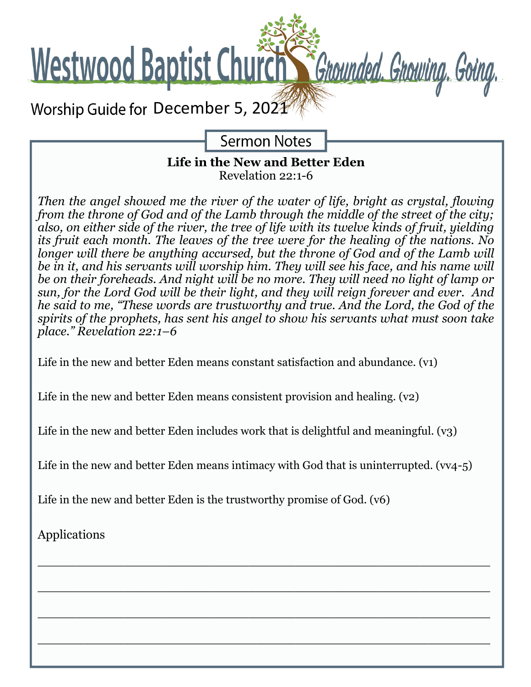

**Sermon Notes** 

### **Life in the New and Better Eden** Revelation 22:1-6

*Then the angel showed me the river of the water of life, bright as crystal, flowing from the throne of God and of the Lamb through the middle of the street of the city; also, on either side of the river, the tree of life with its twelve kinds of fruit, yielding its fruit each month. The leaves of the tree were for the healing of the nations. No longer will there be anything accursed, but the throne of God and of the Lamb will be in it, and his servants will worship him. They will see his face, and his name will be on their foreheads. And night will be no more. They will need no light of lamp or sun, for the Lord God will be their light, and they will reign forever and ever. And he said to me, "These words are trustworthy and true. And the Lord, the God of the spirits of the prophets, has sent his angel to show his servants what must soon take place." Revelation 22:1–6*

Life in the new and better Eden means constant satisfaction and abundance. (v1)

Life in the new and better Eden means consistent provision and healing. (v2)

Life in the new and better Eden includes work that is delightful and meaningful.  $(v_3)$ 

Life in the new and better Eden means intimacy with God that is uninterrupted.  $(vv4-5)$ 

\_\_\_\_\_\_\_\_\_\_\_\_\_\_\_\_\_\_\_\_\_\_\_\_\_\_\_\_\_\_\_\_\_\_\_\_\_\_\_\_\_\_\_\_\_\_\_\_\_\_\_\_\_\_\_\_\_\_

\_\_\_\_\_\_\_\_\_\_\_\_\_\_\_\_\_\_\_\_\_\_\_\_\_\_\_\_\_\_\_\_\_\_\_\_\_\_\_\_\_\_\_\_\_\_\_\_\_\_\_\_\_\_\_\_\_\_

\_\_\_\_\_\_\_\_\_\_\_\_\_\_\_\_\_\_\_\_\_\_\_\_\_\_\_\_\_\_\_\_\_\_\_\_\_\_\_\_\_\_\_\_\_\_\_\_\_\_\_\_\_\_\_\_\_\_

\_\_\_\_\_\_\_\_\_\_\_\_\_\_\_\_\_\_\_\_\_\_\_\_\_\_\_\_\_\_\_\_\_\_\_\_\_\_\_\_\_\_\_\_\_\_\_\_\_\_\_\_\_\_\_\_\_\_

Life in the new and better Eden is the trustworthy promise of God. (v6)

Applications